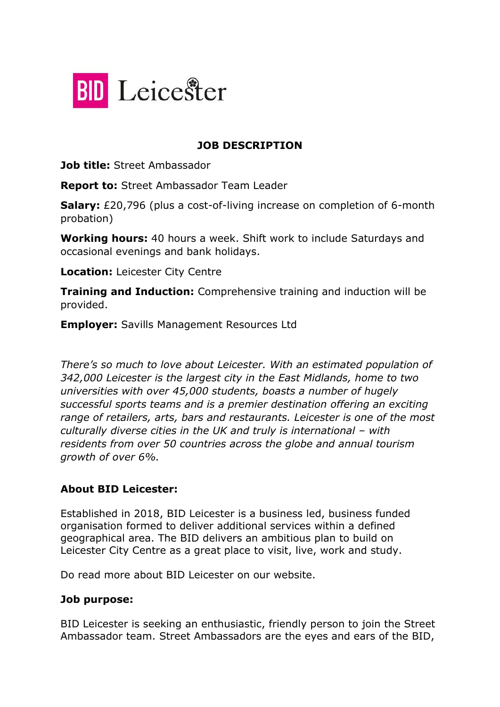

### **JOB DESCRIPTION**

**Job title:** Street Ambassador

**Report to:** Street Ambassador Team Leader

**Salary:** £20,796 (plus a cost-of-living increase on completion of 6-month probation)

**Working hours:** 40 hours a week. Shift work to include Saturdays and occasional evenings and bank holidays.

**Location:** Leicester City Centre

**Training and Induction:** Comprehensive training and induction will be provided.

**Employer:** Savills Management Resources Ltd

*There's so much to love about Leicester. With an estimated population of 342,000 Leicester is the largest city in the East Midlands, home to two universities with over 45,000 students, boasts a number of hugely successful sports teams and is a premier destination offering an exciting range of retailers, arts, bars and restaurants. Leicester is one of the most culturally diverse cities in the UK and truly is international – with residents from over 50 countries across the globe and annual tourism growth of over 6%.*

#### **About BID Leicester:**

Established in 2018, BID Leicester is a business led, business funded organisation formed to deliver additional services within a defined geographical area. The BID delivers an ambitious plan to build on Leicester City Centre as a great place to visit, live, work and study.

Do read more about BID Leicester on our website.

#### **Job purpose:**

BID Leicester is seeking an enthusiastic, friendly person to join the Street Ambassador team. Street Ambassadors are the eyes and ears of the BID,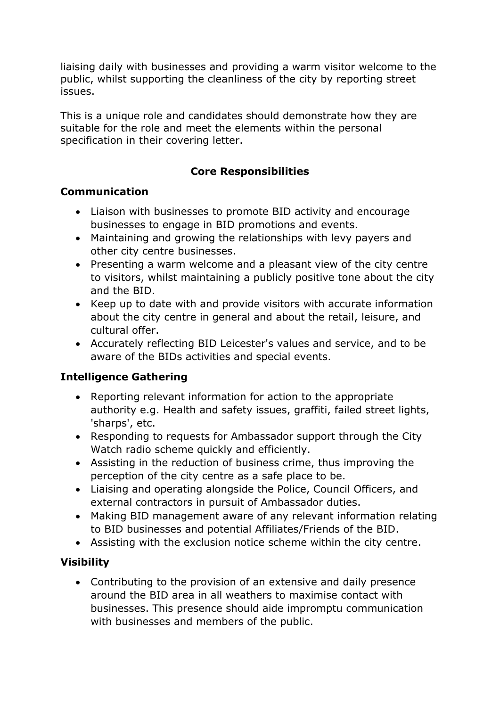liaising daily with businesses and providing a warm visitor welcome to the public, whilst supporting the cleanliness of the city by reporting street issues.

This is a unique role and candidates should demonstrate how they are suitable for the role and meet the elements within the personal specification in their covering letter.

### **Core Responsibilities**

#### **Communication**

- Liaison with businesses to promote BID activity and encourage businesses to engage in BID promotions and events.
- Maintaining and growing the relationships with levy payers and other city centre businesses.
- Presenting a warm welcome and a pleasant view of the city centre to visitors, whilst maintaining a publicly positive tone about the city and the BID.
- Keep up to date with and provide visitors with accurate information about the city centre in general and about the retail, leisure, and cultural offer.
- Accurately reflecting BID Leicester's values and service, and to be aware of the BIDs activities and special events.

#### **Intelligence Gathering**

- Reporting relevant information for action to the appropriate authority e.g. Health and safety issues, graffiti, failed street lights, 'sharps', etc.
- Responding to requests for Ambassador support through the City Watch radio scheme quickly and efficiently.
- Assisting in the reduction of business crime, thus improving the perception of the city centre as a safe place to be.
- Liaising and operating alongside the Police, Council Officers, and external contractors in pursuit of Ambassador duties.
- Making BID management aware of any relevant information relating to BID businesses and potential Affiliates/Friends of the BID.
- Assisting with the exclusion notice scheme within the city centre.

#### **Visibility**

• Contributing to the provision of an extensive and daily presence around the BID area in all weathers to maximise contact with businesses. This presence should aide impromptu communication with businesses and members of the public.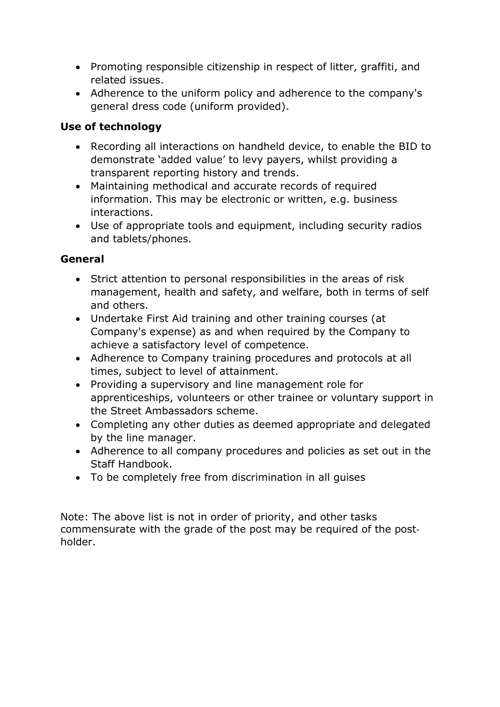- Promoting responsible citizenship in respect of litter, graffiti, and related issues.
- Adherence to the uniform policy and adherence to the company's general dress code (uniform provided).

## **Use of technology**

- Recording all interactions on handheld device, to enable the BID to demonstrate 'added value' to levy payers, whilst providing a transparent reporting history and trends.
- Maintaining methodical and accurate records of required information. This may be electronic or written, e.g. business interactions.
- Use of appropriate tools and equipment, including security radios and tablets/phones.

## **General**

- Strict attention to personal responsibilities in the areas of risk management, health and safety, and welfare, both in terms of self and others.
- Undertake First Aid training and other training courses (at Company's expense) as and when required by the Company to achieve a satisfactory level of competence.
- Adherence to Company training procedures and protocols at all times, subject to level of attainment.
- Providing a supervisory and line management role for apprenticeships, volunteers or other trainee or voluntary support in the Street Ambassadors scheme.
- Completing any other duties as deemed appropriate and delegated by the line manager.
- Adherence to all company procedures and policies as set out in the Staff Handbook.
- To be completely free from discrimination in all guises

Note: The above list is not in order of priority, and other tasks commensurate with the grade of the post may be required of the post‐ holder.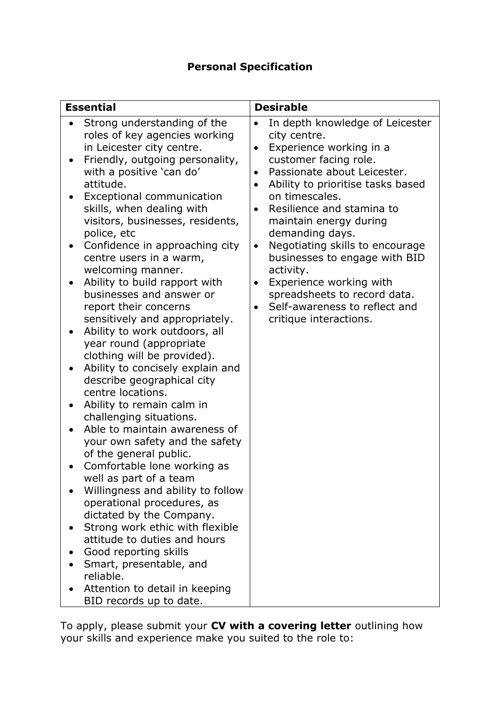# **Personal Specification**

| <b>Essential</b>                                                                                                                                                                                                                                                                                                                                                                                                                                                                                                                                                                                                                                                                                                                                                                                                                                                                                                                                                                                                                                                                                                                                                                             | <b>Desirable</b>                                                                                                                                                                                                                                                                                                                                                                                                                                                                                                                                         |
|----------------------------------------------------------------------------------------------------------------------------------------------------------------------------------------------------------------------------------------------------------------------------------------------------------------------------------------------------------------------------------------------------------------------------------------------------------------------------------------------------------------------------------------------------------------------------------------------------------------------------------------------------------------------------------------------------------------------------------------------------------------------------------------------------------------------------------------------------------------------------------------------------------------------------------------------------------------------------------------------------------------------------------------------------------------------------------------------------------------------------------------------------------------------------------------------|----------------------------------------------------------------------------------------------------------------------------------------------------------------------------------------------------------------------------------------------------------------------------------------------------------------------------------------------------------------------------------------------------------------------------------------------------------------------------------------------------------------------------------------------------------|
| Strong understanding of the<br>roles of key agencies working<br>in Leicester city centre.<br>Friendly, outgoing personality,<br>with a positive 'can do'<br>attitude.<br>Exceptional communication<br>skills, when dealing with<br>visitors, businesses, residents,<br>police, etc<br>Confidence in approaching city<br>centre users in a warm,<br>welcoming manner.<br>Ability to build rapport with<br>businesses and answer or<br>report their concerns<br>sensitively and appropriately.<br>Ability to work outdoors, all<br>year round (appropriate<br>clothing will be provided).<br>Ability to concisely explain and<br>describe geographical city<br>centre locations.<br>Ability to remain calm in<br>challenging situations.<br>Able to maintain awareness of<br>your own safety and the safety<br>of the general public.<br>Comfortable lone working as<br>well as part of a team<br>Willingness and ability to follow<br>operational procedures, as<br>dictated by the Company.<br>Strong work ethic with flexible<br>attitude to duties and hours<br>Good reporting skills<br>Smart, presentable, and<br>reliable.<br>Attention to detail in keeping<br>BID records up to date. | In depth knowledge of Leicester<br>$\bullet$<br>city centre.<br>Experience working in a<br>$\bullet$<br>customer facing role.<br>Passionate about Leicester.<br>Ability to prioritise tasks based<br>$\bullet$<br>on timescales.<br>Resilience and stamina to<br>$\bullet$<br>maintain energy during<br>demanding days.<br>Negotiating skills to encourage<br>$\bullet$<br>businesses to engage with BID<br>activity.<br>Experience working with<br>$\bullet$<br>spreadsheets to record data.<br>Self-awareness to reflect and<br>critique interactions. |

To apply, please submit your **CV with a covering letter** outlining how your skills and experience make you suited to the role to: